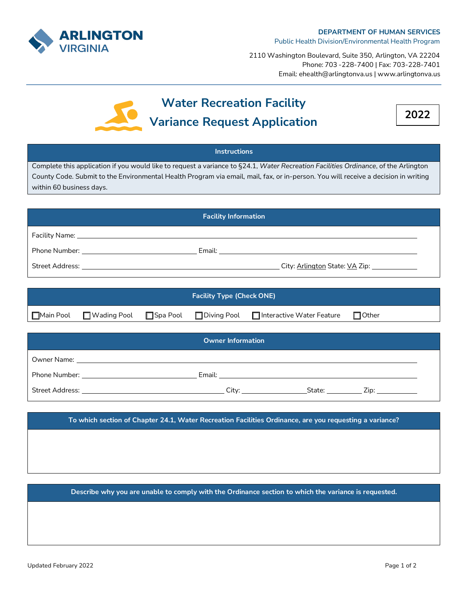

2110 Washington Boulevard, Suite 350, Arlington, VA 22204 Phone: 703 -228-7400 | Fax: 703-228-7401 Email: ehealth@arlingtonva.us | www.arlingtonva.us



## **Water Recreation Facility Variance Request Application**



## **Instructions** Complete this application if you would like to request a variance to §24.1, *Water Recreation Facilities Ordinance*, of the Arlington County Code. Submit to the Environmental Health Program via email, mail, fax, or in-person. You will receive a decision in writing within 60 business days. **Facility Information** Facility Name: \_\_ Phone Number: Email: Street Address: City: Arlington State: VA Zip:

| <b>Facility Type (Check ONE)</b> |                                        |  |  |                                  |              |  |
|----------------------------------|----------------------------------------|--|--|----------------------------------|--------------|--|
| $\Box$ Main Pool                 | ■ Wading Pool ■ Spa Pool ■ Diving Pool |  |  | $\Box$ Interactive Water Feature | $\Box$ Other |  |

| <b>Owner Information</b> |                                                                                                                                                                                                                                |                                                                                                                                                                                                                                |                                                                                                                                                                                                                                |  |
|--------------------------|--------------------------------------------------------------------------------------------------------------------------------------------------------------------------------------------------------------------------------|--------------------------------------------------------------------------------------------------------------------------------------------------------------------------------------------------------------------------------|--------------------------------------------------------------------------------------------------------------------------------------------------------------------------------------------------------------------------------|--|
|                          |                                                                                                                                                                                                                                |                                                                                                                                                                                                                                |                                                                                                                                                                                                                                |  |
|                          | Email: Email: Email: All and the second contract of the second contract of the second contract of the second contract of the second contract of the second contract of the second contract of the second contract of the secon |                                                                                                                                                                                                                                |                                                                                                                                                                                                                                |  |
|                          | City: the contract of the contract of the contract of the contract of the contract of the contract of the contract of the contract of the contract of the contract of the contract of the contract of the contract of the cont | State: with the state of the state of the state of the state of the state of the state of the state of the state of the state of the state of the state of the state of the state of the state of the state of the state of th | Zip: the contract of the contract of the contract of the contract of the contract of the contract of the contract of the contract of the contract of the contract of the contract of the contract of the contract of the contr |  |

**To which section of Chapter 24.1, Water Recreation Facilities Ordinance, are you requesting a variance?**

**Describe why you are unable to comply with the Ordinance section to which the variance is requested.**